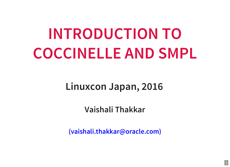# **INTRODUCTION TO COCCINELLE AND SMPL**

**Linuxcon Japan, 2016**

**Vaishali Thakkar**

**(vaishali.thakkar@oracle.com)**

1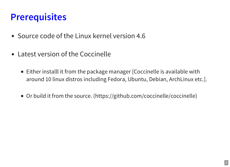### **Prerequisites**

- Source code of the Linux kernel version 4.6
- Latest version of the Coccinelle
	- Either installl it from the package manager [Coccinelle is available with around 10 linux distros including Fedora, Ubuntu, Debian, ArchLinux etc.].
	- Or build it from the source. (https://github.com/coccinelle/coccinelle)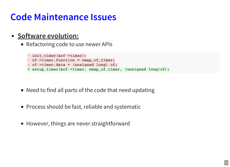### **Code Maintenance Issues**

- **Software evolution:**
	- Refactoring code to use newer APIs

```
- init_timer(&cf->timer);
- cf->timer.function = omap_cf_timer;
- cf->timer.data = (unsigned long) cf;
+ setup_timer(&cf->timer, omap_cf_timer, (unsigned long)cf);
```
- Need to find all parts of the code that need updating
- **Process should be fast, reliable and systematic**
- However, things are never straightforward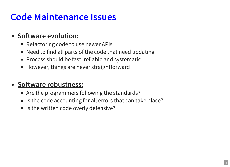# **Code Maintenance Issues**

#### **Software evolution:**

- Refactoring code to use newer APIs
- Need to find all parts of the code that need updating
- **Process should be fast, reliable and systematic**
- However, things are never straightforward

#### **Software robustness:**

- Are the programmers following the standards?
- Is the code accounting for all errors that can take place?
- **If** Is the written code overly defensive?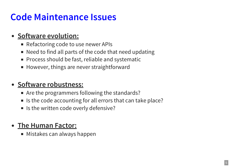# **Code Maintenance Issues**

#### **Software evolution:**

- Refactoring code to use newer APIs
- Need to find all parts of the code that need updating
- **Process should be fast, reliable and systematic**
- However, things are never straightforward

#### **Software robustness:**

- Are the programmers following the standards?
- Is the code accounting for all errors that can take place?
- Is the written code overly defensive?

#### **The Human Factor:**

**Mistakes can always happen**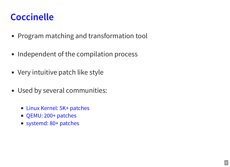### **Coccinelle**

- Program matching and transformation tool
- Independent of the compilation process
- Very intuitive patch like style
- Used by several communities:
	- Linux Kernel: 5K+ patches
	- QEMU: 200+ patches
	- systemd: 80+ patches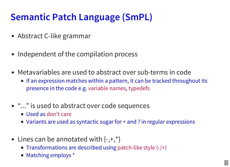# **Semantic Patch Language (SmPL)**

- Abstract C-like grammar
- Independent of the compilation process
- Metavariables are used to abstract over sub-terms in code
	- If an expression matches within a pattern, it can be tracked throughout its presence in the code e.g. variable names, typedefs
- "..." is used to abstract over code sequences
	- Used as don't care
	- Variants are used as syntactic sugar for + and ? in regular expressions
- Lines can be annotated with  $\{-, +, *\}$ 
	- Transformations are described using patch-like style  $(-/+)$
	- Matching employs \*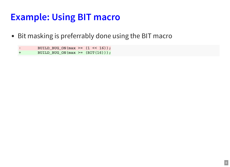### **Example: Using BIT macro**

• Bit masking is preferrably done using the BIT macro

**- BUILD\_BUG\_ON(max >= (1 << 16)); + BUILD\_BUG\_ON(max >= (BIT(16)));**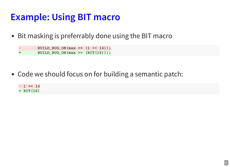### **Example: Using BIT macro**

• Bit masking is preferrably done using the BIT macro

**- BUILD\_BUG\_ON(max >= (1 << 16)); + BUILD\_BUG\_ON(max >= (BIT(16)));**

- Code we should focus on for building a semantic patch:
	- **- 1 << 16 + BIT(16)**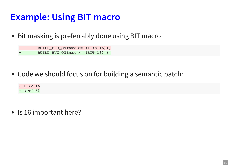### **Example: Using BIT macro**

• Bit masking is preferrably done using BIT macro

 $BULID$   $BUG$   $ON(max$   $>=(1 \leq 16))$ ; **+ BUILD\_BUG\_ON(max >= (BIT(16)));**

- Code we should focus on for building a semantic patch:
	- **- 1 << 16 + BIT(16)**
- Is 16 important here?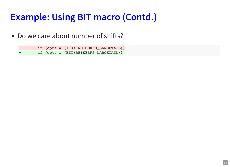• Do we care about number of shifts?

**- if (opts & (1 << REISERFS\_LARGETAIL)) + if (opts & (BIT(REISERFS\_LARGETAIL)))**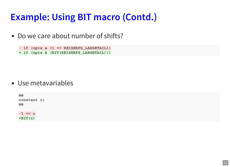Do we care about number of shifts?

```
- if (opts & (1 << REISERFS_LARGETAIL))
+ if (opts & (BIT(REISERFS_LARGETAIL)))
```
Use metavariables

```
@@
constant c;
@@
-1 << c
+BIT(c)
```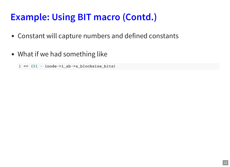- Constant will capture numbers and defined constants
- What if we had something like

**1 << (31 - inode->i\_sb->s\_blocksize\_bits)**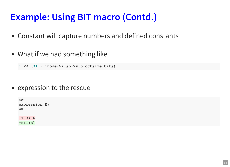- Constant will capture numbers and defined constants
- What if we had something like

**1 << (31 - inode->i\_sb->s\_blocksize\_bits)**

• expression to the rescue

**@@ expression E; @@ -1 << E +BIT(E)**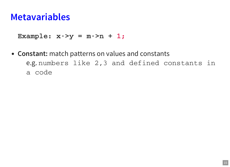**Example:**  $x - y = m - 2n + 1$ ;

**Constant:** match patterns on values and constants e.g. numbers like 2,3 and defined constants in a code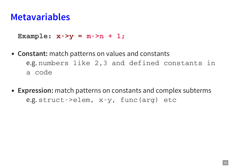Example:  $x - y = m - 2n + 1$ ;

- **Constant:** match patterns on values and constants e.g. numbers like 2,3 and defined constants in a code
- **Expression:** match patterns on constants and complex subterms e.g. struct->elem, x-y, func(arg) etc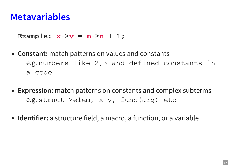Example:  $x - y = m - 2n + 1$ ;

- **Constant:** match patterns on values and constants e.g. numbers like 2,3 and defined constants in a code
- **Expression:** match patterns on constants and complex subterms e.g. struct->elem, x-y, func(arg) etc
- **Identifier:** a structure field, a macro, a function, or a variable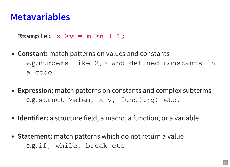**Example:**  $x - y = m - 2n + 1$ ;

- **Constant:** match patterns on values and constants e.g. numbers like 2,3 and defined constants in a code
- **Expression:** match patterns on constants and complex subterms e.g. struct->elem, x-y, func(arg) etc.
- **Identifier:** a structure field, a macro, a function, or a variable
- **Statement:** match patterns which do not return a value e.g. if, while, break etc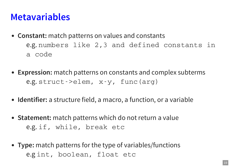- **Constant:** match patterns on values and constants e.g. numbers like 2,3 and defined constants in a code
- **Expression:** match patterns on constants and complex subterms e.g. struct->elem, x-y, func(arg)
- **Identifier:** a structure field, a macro, a function, or a variable
- **Statement:** match patterns which do not return a value e.g. if, while, break etc
- **Type:** match patterns for the type of variables/functions e.g int, boolean, float etc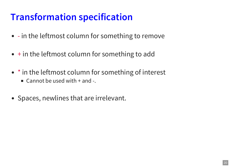# **Transformation specification**

- - in the leftmost column for something to remove
- $\bullet$  + in the leftmost column for something to add
- \* in the leftmost column for something of interest
	- $\blacksquare$  Cannot be used with  $+$  and  $-$ .
- Spaces, newlines that are irrelevant.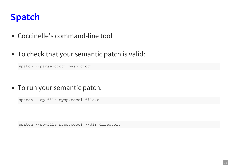### **Spatch**

- Coccinelle's command-line tool
- To check that your semantic patch is valid:

spatch --parse-cocci mysp.cocci

To run your semantic patch:

spatch --sp-file mysp.cocci file.c

spatch --sp-file mysp.cocci --dir directory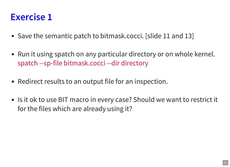### **Exercise 1**

- Save the semantic patch to bitmask.cocci. [slide 11 and 13]
- Run it using spatch on any particular directory or on whole kernel. spatch --sp-file bitmask.cocci --dir directory
- Redirect results to an output file for an inspection.
- Is it ok to use BIT macro in every case? Should we want to restrict it for the files which are already using it?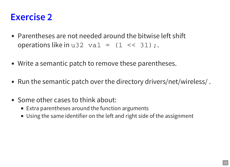### **Exercise 2**

- Parentheses are not needed around the bitwise left shift operations like in  $u32$  val =  $(1 \leq s31)$ ;
- Write a semantic patch to remove these parentheses.
- Run the semantic patch over the directory drivers/net/wireless/.
- Some other cases to think about:
	- Extra parentheses around the function arguments
	- Using the same identifier on the left and right side of the assignment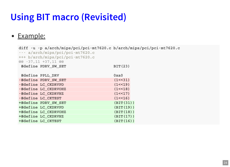# **Using BIT macro (Revisited)**

#### Example:

**diff -u -p a/arch/mips/pci/pci-mt7620.c b/arch/mips/pci/pci-mt7620.c --- a/arch/mips/pci/pci-mt7620.c +++ b/arch/mips/pci/pci-mt7620.c @@ -37,11 +37,11 @@ #define PDRV\_SW\_SET BIT(23) #define PPLL\_DRV 0xa0 -#define PDRV\_SW\_SET (1<<31) -#define LC\_CKDRVPD (1<<19) -#define LC\_CKDRVOHZ (1<<18) -#define LC\_CKDRVHZ (1<<17) -#define LC\_CKTEST (1<<16) +#define PDRV\_SW\_SET (BIT(31)) +#define LC\_CKDRVPD (BIT(19)) +#define LC\_CKDRVOHZ (BIT(18)) +#define LC\_CKDRVHZ (BIT(17)) +#define LC\_CKTEST (BIT(16))**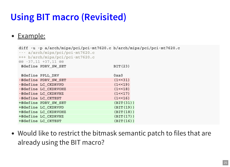# **Using BIT macro (Revisited)**

#### Example:

| diff -u -p a/arch/mips/pci/pci-mt7620.c b/arch/mips/pci/pci-mt7620.c<br>--- a/arch/mips/pci/pci-mt7620.c<br>+++ b/arch/mips/pci/pci-mt7620.c |                      |           |  |  |
|----------------------------------------------------------------------------------------------------------------------------------------------|----------------------|-----------|--|--|
| @@ -37,11 +37,11 @@                                                                                                                          |                      |           |  |  |
|                                                                                                                                              | #define PDRV SW SET  | BIT (23)  |  |  |
|                                                                                                                                              |                      |           |  |  |
|                                                                                                                                              | #define PPLL DRV     | 0xa0      |  |  |
|                                                                                                                                              | -#define PDRV SW SET | (1<31)    |  |  |
|                                                                                                                                              | -#define LC CKDRVPD  | (1<19)    |  |  |
|                                                                                                                                              | -#define LC CKDRVOHZ | (1<18)    |  |  |
|                                                                                                                                              | -#define LC CKDRVHZ  | (1<17)    |  |  |
|                                                                                                                                              | -#define LC CKTEST   | (1<16)    |  |  |
|                                                                                                                                              | +#define PDRV SW SET | (BIT(31)) |  |  |
|                                                                                                                                              | +#define LC CKDRVPD  | (BIT(19)) |  |  |
|                                                                                                                                              | +#define LC CKDRVOHZ | (BIT(18)) |  |  |
|                                                                                                                                              | +#define LC CKDRVHZ  | (BIT(17)) |  |  |
|                                                                                                                                              | +#define LC CKTEST   | (BIT(16)) |  |  |

Would like to restrict the bitmask semantic patch to files that are already using the BIT macro?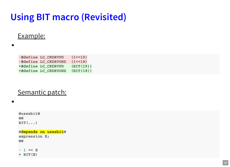# **Using BIT macro (Revisited)**

#### Example:

| -#define LC CKDRVPD  | (1<19)    |
|----------------------|-----------|
| -#define LC CKDRVOHZ | (1<18)    |
| +#define LC CKDRVPD  | (BIT(19)) |
| +#define LC CKDRVOHZ | (BIT(18)) |

#### Semantic patch:

```
@usesbit@
@@
BIT(...)
@depends on usesbit@
expression E;
@@
- 1 << E
+ BIT(E)
```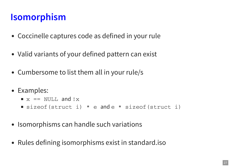# **Isomorphism**

- Coccinelle captures code as defined in your rule
- Valid variants of your defined pattern can exist
- Cumbersome to list them all in your rule/s
- Examples:
	- $x = NULL$  and  $x$
	- sizeof(struct i) \* e and e \* sizeof(struct i)
- Isomorphisms can handle such variations
- Rules defining isomorphisms exist in standard.iso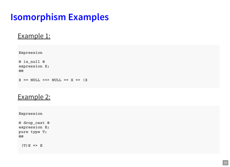### **Isomorphism Examples**

#### Example 1:

**Expression**

**@ is\_null @ expression X; @@**

**X == NULL <=> NULL == X => !X**

#### Example 2:

**Expression**

```
@ drop_cast @
expression E;
pure type T;
@@
```
**(T)E => E**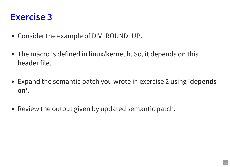### **Exercise 3**

- Consider the example of DIV\_ROUND\_UP.
- The macro is defined in linux/kernel.h. So, it depends on this header file.
- Expand the semantic patch you wrote in exercise 2 using **'depends on'.**
- Review the output given by updated semantic patch.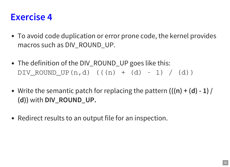### **Exercise 4**

- To avoid code duplication or error prone code, the kernel provides macros such as DIV ROUND UP.
- The definition of the DIV\_ROUND\_UP goes like this: DIV ROUND UP $(n,d)$  (( $(n)$  +  $(d)$  - 1) /  $(d)$ )
- Write the semantic patch for replacing the pattern **(((n) + (d) - 1) / (d))** with **DIV\_ROUND\_UP.**
- Redirect results to an output file for an inspection.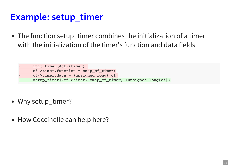# **Example: setup\_timer**

The function setup\_timer combines the initialization of a timer with the initialization of the timer's function and data fields.

```
- init_timer(&cf->timer);
```
- **- cf->timer.function = omap\_cf\_timer;**
- **- cf->timer.data = (unsigned long) cf;**
- **+ setup\_timer(&cf->timer, omap\_cf\_timer, (unsigned long)cf);**
- Why setup\_timer?
- How Coccinelle can help here?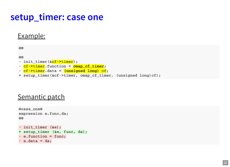### **setup\_timer: case one**

#### Example:

```
@@
@@
- init_timer(&cf->timer);
- cf->timer.function = omap_cf_timer;
- cf->timer.data = (unsigned long) cf;
+ setup_timer(&cf->timer, omap_cf_timer, (unsigned long)cf);
```
#### Semantic patch

```
@case_one@
expression e,func,da;
@@
- init_timer (&e);
+ setup_timer (&e, func, da);
- e.function = func;
- e.data = da;
```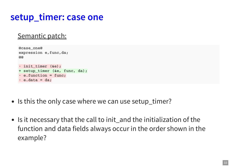### **setup\_timer: case one**

#### Semantic patch:

```
@case_one@
expression e,func,da;
@@
- init_timer (&e);
+ setup_timer (&e, func, da);
- e.function = func;
- e.data = da;
```
- Is this the only case where we can use setup\_timer?
- Is it necessary that the call to init\_and the initialization of the function and data fields always occur in the order shown in the example?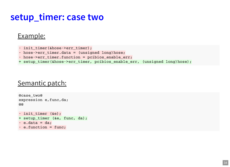### **setup\_timer: case two**

#### Example:

- **- init\_timer(&hose->err\_timer);**
- **- hose->err\_timer.data = (unsigned long)hose;**
- **- hose->err\_timer.function = pcibios\_enable\_err;**
- **+ setup\_timer(&hose->err\_timer, pcibios\_enable\_err, (unsigned long)hose);**

#### Semantic patch:

```
@case_two@
expression e,func,da;
@@
- init_timer (&e);
+ setup_timer (&e, func, da);
- e.data = da;
- e.function = func;
```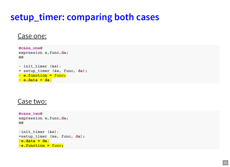### **setup\_timer: comparing both cases**

#### Case one:

```
@case_one@
expression e,func,da;
@@
- init_timer (&e);
+ setup_timer (&e, func, da);
- e.function = func;
- e.data = da;
```
#### Case two:

```
@case_two@
expression e,func,da;
@@
-init_timer (&e);
+setup_timer (&e, func, da);
-e.data = da;
-e.function = func;
```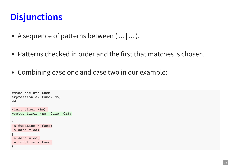### **Disjunctions**

- A sequence of patterns between (...  $|...|$ ...).
- Patterns checked in order and the first that matches is chosen.
- Combining case one and case two in our example:

```
@case_one_and_two@
expression e, func, da;
@@
-init_timer (&e);
+setup_timer (&e, func, da);
(
-e.function = func;
-e.data = da;
|
-e.data = da;
-e.function = func;
)
```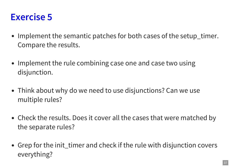### **Exercise 5**

- Implement the semantic patches for both cases of the setup\_timer. Compare the results.
- Implement the rule combining case one and case two using disjunction.
- Think about why do we need to use disjunctions? Can we use multiple rules?
- Check the results. Does it cover all the cases that were matched by the separate rules?
- Grep for the init\_timer and check if the rule with disjunction covers everything?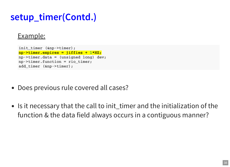# **setup\_timer(Contd.)**

#### Example:

```
init_timer (&np->timer);
np->timer.expires = jiffies + 1*HZ;
np->timer.data = (unsigned long) dev;
np->timer.function = rio_timer;
add_timer (&np->timer);
```
- Does previous rule covered all cases?
- Is it necessary that the call to init\_timer and the initialization of the function & the data field always occurs in a contiguous manner?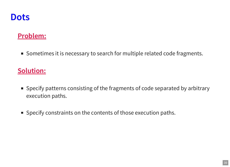

### **Problem:**

■ Sometimes it is necessary to search for multiple related code fragments.

### **Solution:**

- Specify patterns consisting of the fragments of code separated by arbitrary execution paths.
- **Specify constraints on the contents of those execution paths.**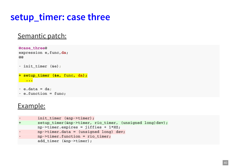### **setup\_timer: case three**

#### Semantic patch:

```
@case_three@
expression e,func,da;
@@
- init_timer (&e);
+ setup_timer (&e, func, da);
  ...
```

```
- e.data = da;
- e.function = func;
```
#### Example:

```
- init_timer (&np->timer);
+ setup_timer(&np->timer, rio_timer, (unsigned long)dev);
       np->timer.expires = jiffies + 1*HZ;
       - np->timer.data = (unsigned long) dev;
       - np->timer.function = rio_timer;
       add_timer (&np->timer);
```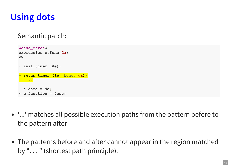# **Using dots**

### Semantic patch:

```
@case_three@
expression e,func,da;
@@
- init_timer (&e);
+ setup_timer (&e, func, da);
  ...
- e.data = da;
- e.function = func;
```
- '...' matches all possible execution paths from the pattern before to the pattern after
- The patterns before and after cannot appear in the region matched by "..." (shortest path principle).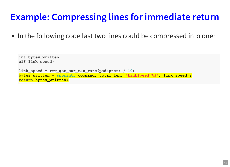# **Example: Compressing lines for immediate return**

• In the following code last two lines could be compressed into one:

**int bytes\_written; u16 link\_speed; link\_speed = rtw\_get\_cur\_max\_rate(padapter) / 10; bytes\_written = snprintf(command, total\_len, "LinkSpeed %d", link\_speed); return bytes\_written;**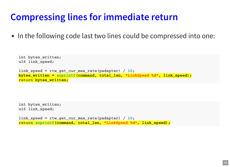## **Compressing lines for immediate return**

• In the following code last two lines could be compressed into one:

```
int bytes_written;
u16 link_speed;
link_speed = rtw_get_cur_max_rate(padapter) / 10;
bytes_written = snprintf(command, total_len, "LinkSpeed %d", link_speed);
return bytes_written;
```

```
int bytes_written;
u16 link_speed;
```

```
link speed = rtw get cur max rate(padapter) / 10;
return snprintf(command, total_len, "LinkSpeed %d", link_speed);
```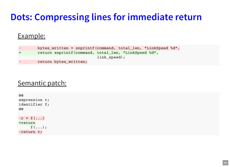## **Dots: Compressing lines for immediate return**

#### Example:

| $\sim$ | bytes written = snprintf (command, total len, "LinkSpeed %d", |
|--------|---------------------------------------------------------------|
| $+$    | return snprintf (command, total_len, "LinkSpeed %d",          |
|        | link speed);                                                  |
| $\sim$ | return bytes_written;                                         |

#### Semantic patch:

```
@@
expression r;
identifier f;
@@
-r = f(....)+return
     f(...);
-return r;
```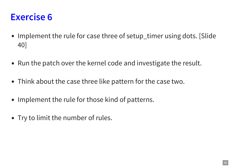### **Exercise 6**

- Implement the rule for case three of setup\_timer using dots. [Slide 40]
- Run the patch over the kernel code and investigate the result.
- Think about the case three like pattern for the case two.
- Implement the rule for those kind of patterns.
- Try to limit the number of rules.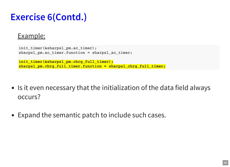## **Exercise 6(Contd.)**

#### Example:

```
init_timer(&sharpsl_pm.ac_timer);
sharpsl_pm.ac_timer.function = sharpsl_ac_timer;
init_timer(&sharpsl_pm.chrg_full_timer);
sharpsl_pm.chrg_full_timer.function = sharpsl_chrg_full_timer;
```
- Is it even necessary that the initialization of the data field always occurs?
- Expand the semantic patch to include such cases.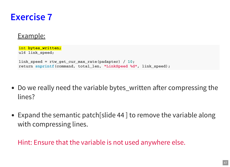

#### Example:

```
int bytes_written;
u16 link_speed;
link_speed = rtw_get_cur_max_rate(padapter) / 10;
return snprintf(command, total_len, "LinkSpeed %d", link_speed);
```
- Do we really need the variable bytes\_written after compressing the lines?
- Expand the semantic patch[slide 44 ] to remove the variable along with compressing lines.

Hint: Ensure that the variable is not used anywhere else.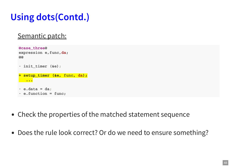# **Using dots(Contd.)**

#### Semantic patch:

```
@case_three@
expression e,func,da;
@@
- init_timer (&e);
+ setup_timer (&e, func, da);
  ...
- e.data = da;
- e.function = func;
```
- Check the properties of the matched statement sequence
- Does the rule look correct? Or do we need to ensure something?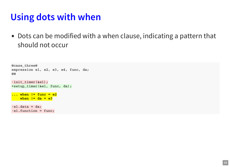## **Using dots with when**

Dots can be modified with a when clause, indicating a pattern that should not occur

```
@case_three@
expression e1, e2, e3, e4, func, da;
@@
-init_timer(&e1);
+setup_timer(&e1, func, da);
... when != func = e2
   when != da = e3
-e1.data = da;
-e1.function = func;
```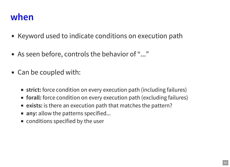### **when**

- Keyword used to indicate conditions on execution path
- As seen before, controls the behavior of "..."
- Can be coupled with:
	- strict: force condition on every execution path (including failures)
	- **forall:** force condition on every execution path (excluding failures)
	- **exists:** is there an execution path that matches the pattern?
	- **any:** allow the patterns specified...
	- **Exercified by the user**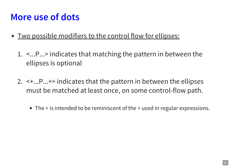### **More use of dots**

- Two possible modifiers to the control flow for ellipses:
	- 1. <...P...> indicates that matching the pattern in between the ellipses is optional
	- 2. <+...P...+> indicates that the pattern in between the ellipses must be matched at least once, on some control-flow path.
		- $\blacksquare$  The + is intended to be reminiscent of the + used in regular expressions.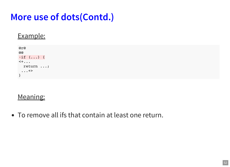# **More use of dots(Contd.)**

#### Example:

**@r@ @@ -if (...) { <+... return ...; ...+> }**

#### Meaning:

To remove all ifs that contain at least one return.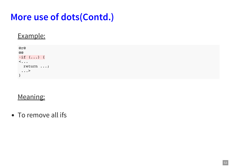## **More use of dots(Contd.)**

#### Example:

**@r@ @@ -if (...) { <... return ...; ...> }**

#### Meaning:

• To remove all ifs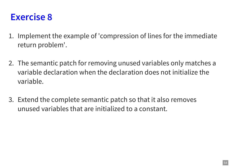### **Exercise 8**

- 1. Implement the example of 'compression of lines for the immediate return problem'.
- 2. The semantic patch for removing unused variables only matches a variable declaration when the declaration does not initialize the variable.
- 3. Extend the complete semantic patch so that it also removes unused variables that are initialized to a constant.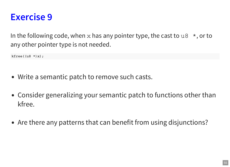

In the following code, when  ${\bf x}$  has any pointer type, the cast to  ${\bf u} 8$   $\ast$  , or to any other pointer type is not needed.

**kfree((u8 \*)x);**

- Write a semantic patch to remove such casts.
- Consider generalizing your semantic patch to functions other than kfree.
- Are there any patterns that can benefit from using disjunctions?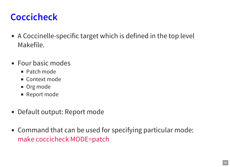# **Coccicheck**

- A Coccinelle-specific target which is defined in the top level Makefile.
- Four basic modes
	- **Patch mode**
	- Context mode
	- Org mode
	- Report mode
- Default output: Report mode
- Command that can be used for specifying particular mode: make coccicheck MODE=patch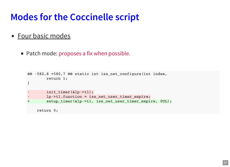- Four basic modes
	- Patch mode: proposes a fix when possible.

```
@@ -582,8 +580,7 @@ static int iss_net_configure(int index,
        return 1;
}
        - init_timer(&lp->tl);
        - lp->tl.function = iss_net_user_timer_expire;
+ setup_timer(&lp->tl, iss_net_user_timer_expire, 0UL);
    return 0;
```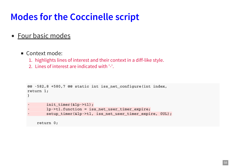- Four basic modes
	- Context mode:
		- 1. highlights lines of interest and their context in a diff-like style.
		- 2. Lines of interest are indicated with '-'.

```
@@ -582,8 +580,7 @@ static int iss_net_configure(int index,
return 1;
}
        - init_timer(&lp->tl);
        - lp->tl.function = iss_net_user_timer_expire;
        - setup_timer(&lp->tl, iss_net_user_timer_expire, 0UL);
    return 0;
```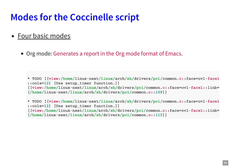- Four basic modes  $\bullet$ 
	- Org mode: Generates a report in the Org mode format of Emacs.

```
* TODO [[view:/home/linux-next/linux/arch/sh/drivers/pci/common.c::face=ovl-face1:
::cole=12] [Use setup_timer function.]]
[[view:/home/linux-next/linux/arch/sh/drivers/pci/common.c::face=ovl-face1::linb=109
[/home/linux-next/linux/arch/sh/drivers/pci/common.c::109]]
```

```
* TODO [[view:/home/linux-next/linux/arch/sh/drivers/pci/common.c::face=ovl-face1:
::cole=12] [Use setup_timer function.]]
[[view:/home/linux-next/linux/arch/sh/drivers/pci/common.c::face=ovl-face1::linb=115
[/home/linux-next/linux/arch/sh/drivers/pci/common.c::115]]
```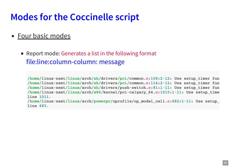### • Four basic modes

■ Report mode: Generates a list in the following format file:line:column-column: message

```
/home/linux-next/linux/arch/sh/drivers/pci/common.c:108:2-12: Use setup_timer function around line
/home/linux-next/linux/arch/sh/drivers/pci/common.c:114:2-12: Use setup_timer function around line
/home/linux-next/linux/arch/sh/drivers/push-switch.c:81:1-11: Use setup_timer function around line
/home/linux-next/linux/arch/x86/kernel/pci-calgary_64.c:1010:1-11: Use setup_timer function around
line 1011.
/home/linux-next/linux/arch/powerpc/oprofile/op_model_cell.c:682:1-11: Use setup_timer function around
line 683.
```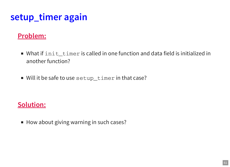# **setup\_timer again**

### **Problem:**

- What if init\_timer is called in one function and data field is initialized in another function?
- Will it be safe to use setup\_timer in that case?

### **Solution:**

How about giving warning in such cases?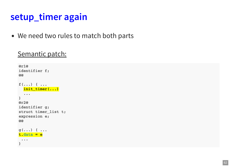## **setup\_timer again**

We need two rules to match both parts

#### Semantic patch:

```
@r1@
identifier f;
@@
f(...) { ...
  init_timer(...)
  ...
}
@r2@
identifier g;
struct timer_list t;
expression e;
@@
g(...) { ...
t.data = e
 ...
}
```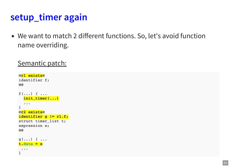## **setup\_timer again**

We want to match 2 different functions. So, let's avoid function name overriding.

#### Semantic patch:

```
@r1 exists@
identifier f;
@@
f(...) { ...
  init_timer(...)
  ...
}
@r2 exists@
identifier g != r1.f;
struct timer_list t;
expression e;
@@
g(...) { ...
t.data = e
 ...
}
```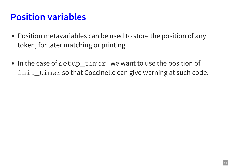## **Position variables**

- Position metavariables can be used to store the position of any token, for later matching or printing.
- In the case of setup\_timer we want to use the position of init\_timer so that Coccinelle can give warning at such code.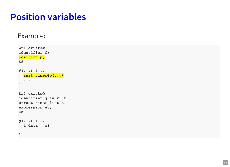# **Position variables**

#### Example:

```
@r1 exists@ identifier
f
;
p
o
s
i
t
i
o
n
p
;
@
@
f
(
.
.
.
)
{
.
.
.
   i
n
i
t_
t
i
m
e
r
@
p
(
.
.
.
)
   .
.
.
}@
r
2
e
x
i
s
t
s
@
identifier g != r1.f;
struct timer_list t;
e
x
p
r
e
s
s
i
o
n
e
8
;
@
@
g
(
.
.
.
)
{
.
.
.
   t \cdot 4 = 8.
.
.
}
```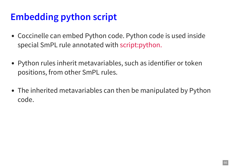# **Embedding python script**

- Coccinelle can embed Python code. Python code is used inside special SmPL rule annotated with script:python.
- Python rules inherit metavariables, such as identifier or token positions, from other SmPL rules.
- The inherited metavariables can then be manipulated by Python code.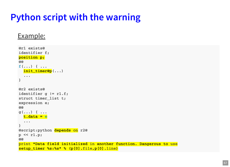## **Python script with the warning**

#### Example:

```
@r1 exists@
identifier f;
position p;
@@
f(...) { ...
  init_timer@p(...)
  ...
}
@r2 exists@
identifier g != r1.f;
struct timer_list t;
expression e;
@@
g(...) { ...
  t.data = e
  ...
}
@script:python depends on r2@
p << r1.p;
@@
print "Data field initialized in another function. Dangerous to use
setup_timer %s:%s" % (p[0].file,p[0].line)
```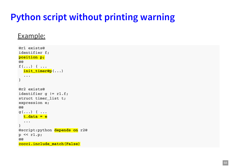# **Python script without printing warning**

#### Example:

```
@r1 exists@
identifier f;
position p;
@@
f(...) { ...
  init_timer@p(...)
  ...
}
@r2 exists@
identifier g != r1.f;
struct timer_list t;
expression e;
@@
g(...) { ...
  t.data = e
  ...
}
@script:python depends on r2@
p << r1.p;
@@
cocci.include_match(False)
```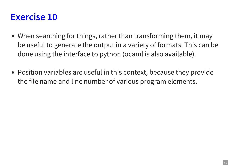## **Exercise 10**

- When searching for things, rather than transforming them, it may be useful to generate the output in a variety of formats. This can be done using the interface to python (ocaml is also available).
- Position variables are useful in this context, because they provide the file name and line number of various program elements.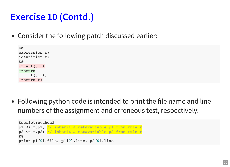# **Exercise 10 (Contd.)**

Consider the following patch discussed earlier:

**@@ expression r; identifier f; @@**  $-r = f($ ...) **+return f(...); -return r;**

Following python code is intended to print the file name and line numbers of the assignment and erroneous test, respectively:

```
@script:python@
p1 << r.p1; // inherit a metavariable p1 from rule r
p2 << r.p2; // inherit a metavariable p2 from rule r
@@
print p1[0].file, p1[0].line, p2[0].line
```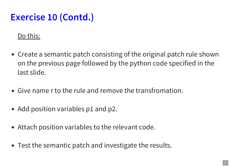# **Exercise 10 (Contd.)**

### Do this:

- Create a semantic patch consisting of the original patch rule shown on the previous page followed by the python code specified in the last slide.
- Give name r to the rule and remove the transfromation.
- Add position variables p1 and p2.
- Attach position variables to the relevant code.
- Test the semantic patch and investigate the results.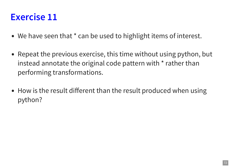# **Exercise 11**

- We have seen that \* can be used to highlight items of interest.
- Repeat the previous exercise, this time without using python, but instead annotate the original code pattern with \* rather than performing transformations.
- How is the result different than the result produced when using python?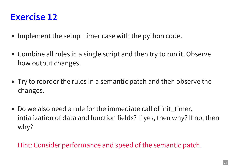### **Exercise 12**

- Implement the setup\_timer case with the python code.
- Combine all rules in a single script and then try to run it. Observe how output changes.
- Try to reorder the rules in a semantic patch and then observe the changes.
- Do we also need a rule for the immediate call of init timer, intialization of data and function fields? If yes, then why? If no, then why?

Hint: Consider performance and speed of the semantic patch.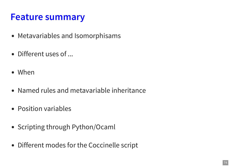#### **Feature summary**

- Metavariables and Isomorphisams
- Different uses of ...
- When
- Named rules and metavariable inheritance
- Position variables
- Scripting through Python/Ocaml
- Different modes for the Coccinelle script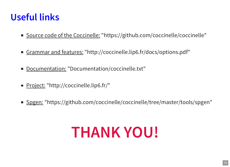### **Useful links**

- Source code of the Coccinelle: "https://github.com/coccinelle/coccinelle"
- Grammar and features: "http://coccinelle.lip6.fr/docs/options.pdf"
- Documentation: "Documentation/coccinelle.txt"  $\Box$
- Project: "http://coccinelle.lip6.fr/"
- Spgen: "https://github.com/coccinelle/coccinelle/tree/master/tools/spgen"

# **THANK YOU!**